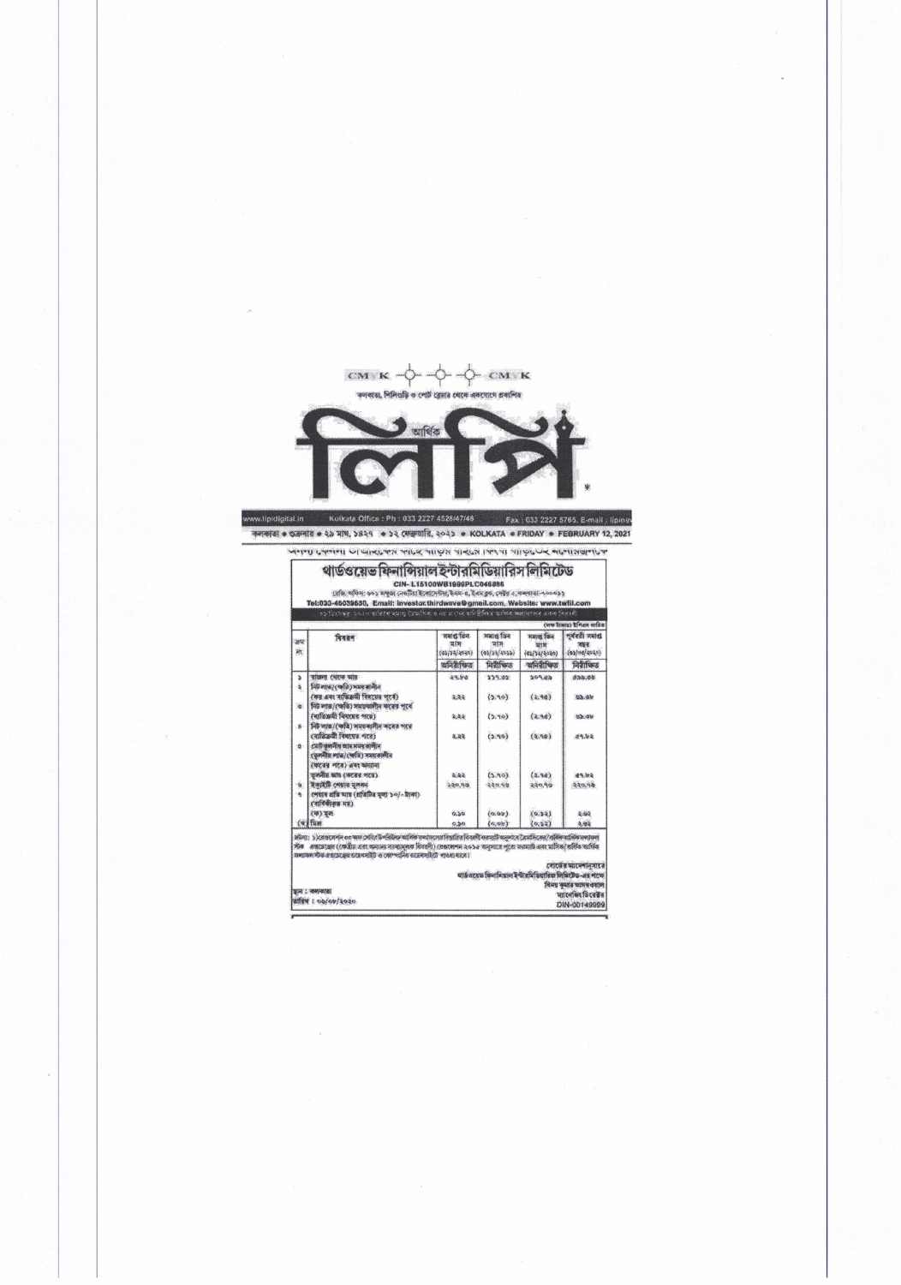

www.lipidigital.in Kolkata Office : Ph : 033 2227 4528/47/48 Fax : 033 2227 5765. E-mail : lipiner कलकांडा • उतन्यात • २० माथ, ১৪२१ • ১২ ফেব্রুয়ারি, ২০২১ • KOLKATA • FRIDAY • FEBRUARY 12, 2021

अनुनाम प्रसन्नामा पा पान्सदानल नापन नाम्यल पान्सल । त्यस्या आफूदप्पन् अक्षमालक्षणपत्र

| চহ হিংসাদ্বয়, ২০২০ তাৰিখে মহাগ্ৰ হৈছাসিক ও নহ'লগেৰে অনিষ্ঠিতিয়ে আগিক স্বৰ্গদশতৰ একক দিৱদলী<br>(अफ हैरकाइ) हैन्द्रिया माहिज |                                                                                                                 |        |         |        |        |  |  |  |
|------------------------------------------------------------------------------------------------------------------------------|-----------------------------------------------------------------------------------------------------------------|--------|---------|--------|--------|--|--|--|
|                                                                                                                              |                                                                                                                 |        |         |        |        |  |  |  |
| s<br>ä                                                                                                                       | ৰাজনা খেকে আয়-<br>নিট লাভা (ক্ষতি) সময় কালীন                                                                  | 29.80  | 339.05  | 509.88 | 833.08 |  |  |  |
| ä.                                                                                                                           | কের এবং বাতিক্রমী বিষয়ের পরে)<br>নিট লাঙ/(ক্ষতি) সময়আলীন করের পূর্বে                                          | 2.44   | (5.96)  | (4.94) | 22.50  |  |  |  |
| 客                                                                                                                            | ৰোতিক্ৰমী বিষয়েত পৰে)<br>লিট লাভ/(ক্ষতি) সময়কালীন কৰের পরে                                                    | 2,44   | (5,90)  | (2.94) | 22.07  |  |  |  |
| 会                                                                                                                            | (बास्किनी विषयपत्र भारत)<br>মেট তলনীয় আৰ সময় কালীন<br>ভেলনীয় লাভ/(অতি) সময়কালীন<br>(कान्यु शान) अन्त कमान्त | 3.33   | (0.99)  | (2.90) | 09.52  |  |  |  |
|                                                                                                                              | অসমীয় আয় (কাৰের পথে)                                                                                          | 2.45   | (5,90)  | (5,96) | 49.82  |  |  |  |
| Ý.<br>ä.                                                                                                                     | উকাইটি লোহার হলধন<br>শেষাৰ প্ৰতি আয় (প্ৰতিটিত সূল্য ১০/- টাকা)<br>(वार्टिकीकड सह)                              | 250.98 | 440.98  | 440,90 | 440.96 |  |  |  |
|                                                                                                                              | (甲) 76                                                                                                          | 0.50   | (0.00)  | (0.54) | 2.442  |  |  |  |
|                                                                                                                              | $(4)$ and                                                                                                       | 0.50   | (a, ab) | (0.52) | 4.05   |  |  |  |

ারিজ লিমিটেড-এর পদে<br>বিনয় কুমার আগদ বয়াল<br>স্যালেজিং ভিরেক্টর<br>DIN-00149999 |<br>|স্থান : বন্দাব্যস্তা<br>|তারিখ : ৩৬/০৮/২০২০